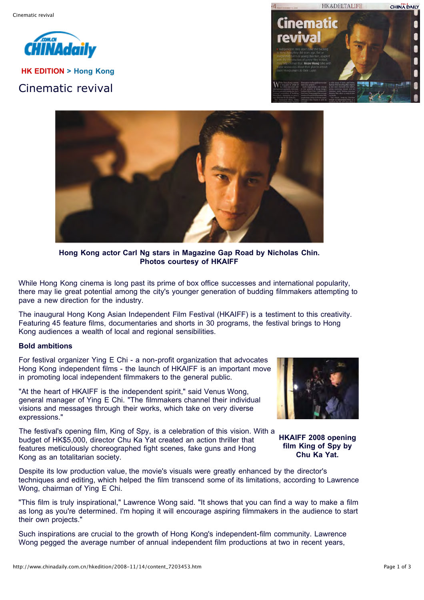

**HK EDITION > Hong Kong** Cinematic revival





**Hong Kong actor Carl Ng stars in Magazine Gap Road by Nicholas Chin. Photos courtesy of HKAIFF**

While Hong Kong cinema is long past its prime of box office successes and international popularity, there may lie great potential among the city's younger generation of budding filmmakers attempting to pave a new direction for the industry.

The inaugural Hong Kong Asian Independent Film Festival (HKAIFF) is a testiment to this creativity. Featuring 45 feature films, documentaries and shorts in 30 programs, the festival brings to Hong Kong audiences a wealth of local and regional sensibilities.

## **Bold ambitions**

For festival organizer Ying E Chi - a non-profit organization that advocates Hong Kong independent films - the launch of HKAIFF is an important move in promoting local independent filmmakers to the general public.

"At the heart of HKAIFF is the independent spirit," said Venus Wong, general manager of Ying E Chi. "The filmmakers channel their individual visions and messages through their works, which take on very diverse expressions."

The festival's opening film, King of Spy, is a celebration of this vision. With a budget of HK\$5,000, director Chu Ka Yat created an action thriller that features meticulously choreographed fight scenes, fake guns and Hong Kong as an totalitarian society.



**HKAIFF 2008 opening film King of Spy by Chu Ka Yat.**

Despite its low production value, the movie's visuals were greatly enhanced by the director's techniques and editing, which helped the film transcend some of its limitations, according to Lawrence Wong, chairman of Ying E Chi.

"This film is truly inspirational," Lawrence Wong said. "It shows that you can find a way to make a film as long as you're determined. I'm hoping it will encourage aspiring filmmakers in the audience to start their own projects."

Such inspirations are crucial to the growth of Hong Kong's independent-film community. Lawrence Wong pegged the average number of annual independent film productions at two in recent years,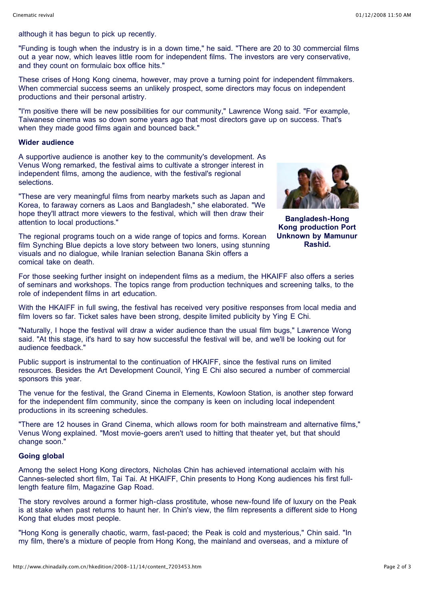although it has begun to pick up recently.

"Funding is tough when the industry is in a down time," he said. "There are 20 to 30 commercial films out a year now, which leaves little room for independent films. The investors are very conservative, and they count on formulaic box office hits."

These crises of Hong Kong cinema, however, may prove a turning point for independent filmmakers. When commercial success seems an unlikely prospect, some directors may focus on independent productions and their personal artistry.

"I'm positive there will be new possibilities for our community," Lawrence Wong said. "For example, Taiwanese cinema was so down some years ago that most directors gave up on success. That's when they made good films again and bounced back."

## **Wider audience**

A supportive audience is another key to the community's development. As Venus Wong remarked, the festival aims to cultivate a stronger interest in independent films, among the audience, with the festival's regional selections.

"These are very meaningful films from nearby markets such as Japan and Korea, to faraway corners as Laos and Bangladesh," she elaborated. "We hope they'll attract more viewers to the festival, which will then draw their attention to local productions."

The regional programs touch on a wide range of topics and forms. Korean film Synching Blue depicts a love story between two loners, using stunning visuals and no dialogue, while Iranian selection Banana Skin offers a comical take on death.



**Bangladesh-Hong Kong production Port Unknown by Mamunur Rashid.**

For those seeking further insight on independent films as a medium, the HKAIFF also offers a series of seminars and workshops. The topics range from production techniques and screening talks, to the role of independent films in art education.

With the HKAIFF in full swing, the festival has received very positive responses from local media and film lovers so far. Ticket sales have been strong, despite limited publicity by Ying E Chi.

"Naturally, I hope the festival will draw a wider audience than the usual film bugs," Lawrence Wong said. "At this stage, it's hard to say how successful the festival will be, and we'll be looking out for audience feedback."

Public support is instrumental to the continuation of HKAIFF, since the festival runs on limited resources. Besides the Art Development Council, Ying E Chi also secured a number of commercial sponsors this year.

The venue for the festival, the Grand Cinema in Elements, Kowloon Station, is another step forward for the independent film community, since the company is keen on including local independent productions in its screening schedules.

"There are 12 houses in Grand Cinema, which allows room for both mainstream and alternative films," Venus Wong explained. "Most movie-goers aren't used to hitting that theater yet, but that should change soon."

## **Going global**

Among the select Hong Kong directors, Nicholas Chin has achieved international acclaim with his Cannes-selected short film, Tai Tai. At HKAIFF, Chin presents to Hong Kong audiences his first fulllength feature film, Magazine Gap Road.

The story revolves around a former high-class prostitute, whose new-found life of luxury on the Peak is at stake when past returns to haunt her. In Chin's view, the film represents a different side to Hong Kong that eludes most people.

"Hong Kong is generally chaotic, warm, fast-paced; the Peak is cold and mysterious," Chin said. "In my film, there's a mixture of people from Hong Kong, the mainland and overseas, and a mixture of